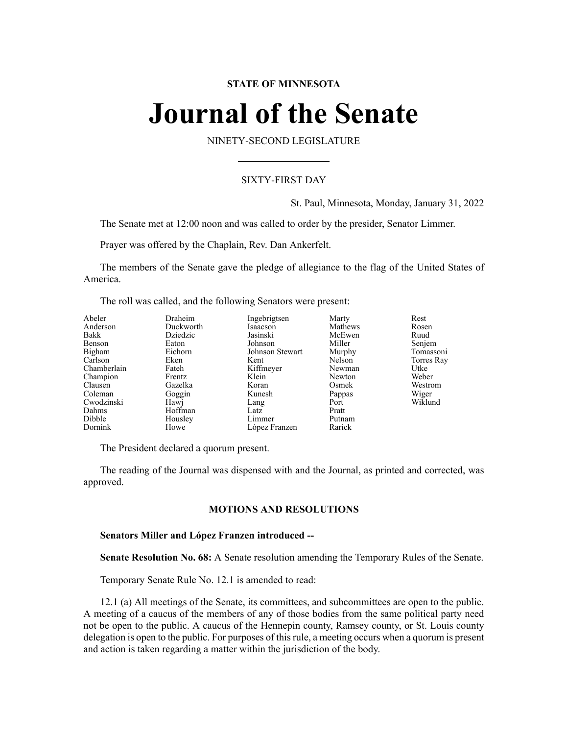# **STATE OF MINNESOTA**

# **Journal of the Senate**

NINETY-SECOND LEGISLATURE

# SIXTY-FIRST DAY

St. Paul, Minnesota, Monday, January 31, 2022

The Senate met at 12:00 noon and was called to order by the presider, Senator Limmer.

Prayer was offered by the Chaplain, Rev. Dan Ankerfelt.

The members of the Senate gave the pledge of allegiance to the flag of the United States of America.

The roll was called, and the following Senators were present:

| Abeler      | Draheim   | Ingebrigtsen    | Marty   | Rest       |
|-------------|-----------|-----------------|---------|------------|
| Anderson    | Duckworth | Isaacson        | Mathews | Rosen      |
| Bakk        | Dziedzic  | Jasinski        | McEwen  | Ruud       |
| Benson      | Eaton     | Johnson         | Miller  | Senjem     |
| Bigham      | Eichorn   | Johnson Stewart | Murphy  | Tomassoni  |
| Carlson     | Eken      | Kent            | Nelson  | Torres Ray |
| Chamberlain | Fateh     | Kiffmeyer       | Newman  | Utke       |
| Champion    | Frentz    | Klein           | Newton  | Weber      |
| Clausen     | Gazelka   | Koran           | Osmek   | Westrom    |
| Coleman     | Goggin    | Kunesh          | Pappas  | Wiger      |
| Cwodzinski  | Hawj      | Lang            | Port    | Wiklund    |
| Dahms       | Hoffman   | Latz            | Pratt   |            |
| Dibble      | Housley   | Limmer          | Putnam  |            |
| Dornink     | Howe      | López Franzen   | Rarick  |            |

The President declared a quorum present.

The reading of the Journal was dispensed with and the Journal, as printed and corrected, was approved.

### **MOTIONS AND RESOLUTIONS**

# **Senators Miller and López Franzen introduced --**

**Senate Resolution No. 68:** A Senate resolution amending the Temporary Rules of the Senate.

Temporary Senate Rule No. 12.1 is amended to read:

12.1 (a) All meetings of the Senate, its committees, and subcommittees are open to the public. A meeting of a caucus of the members of any of those bodies from the same political party need not be open to the public. A caucus of the Hennepin county, Ramsey county, or St. Louis county delegation is open to the public. For purposes of thisrule, a meeting occurs when a quorum is present and action is taken regarding a matter within the jurisdiction of the body.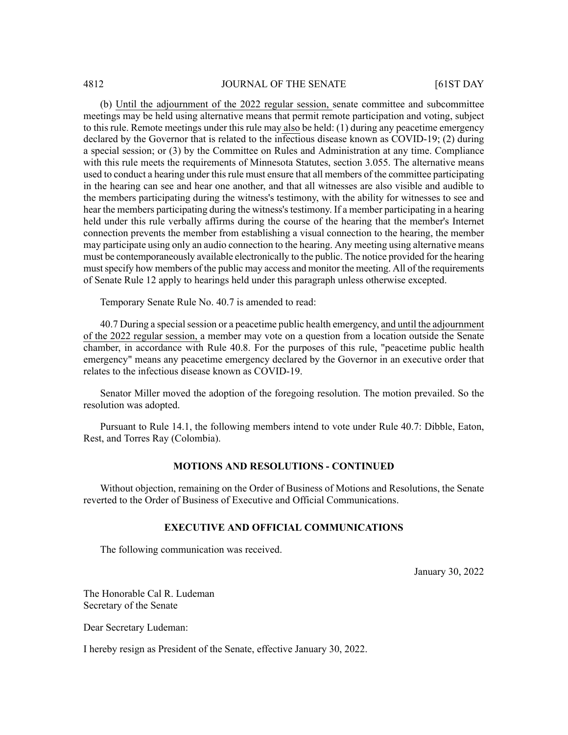(b) Until the adjournment of the 2022 regular session, senate committee and subcommittee meetings may be held using alternative means that permit remote participation and voting, subject to this rule. Remote meetings under this rule may also be held: (1) during any peacetime emergency declared by the Governor that is related to the infectious disease known as COVID-19; (2) during a special session; or (3) by the Committee on Rules and Administration at any time. Compliance with this rule meets the requirements of Minnesota Statutes, section 3.055. The alternative means used to conduct a hearing under thisrule must ensure that all members of the committee participating in the hearing can see and hear one another, and that all witnesses are also visible and audible to the members participating during the witness's testimony, with the ability for witnesses to see and hear the members participating during the witness's testimony. If a member participating in a hearing held under this rule verbally affirms during the course of the hearing that the member's Internet connection prevents the member from establishing a visual connection to the hearing, the member may participate using only an audio connection to the hearing. Any meeting using alternative means must be contemporaneously available electronically to the public. The notice provided for the hearing must specify how members of the public may access and monitor the meeting. All of the requirements of Senate Rule 12 apply to hearings held under this paragraph unless otherwise excepted.

Temporary Senate Rule No. 40.7 is amended to read:

40.7 During a special session or a peacetime public health emergency, and until the adjournment of the 2022 regular session, a member may vote on a question from a location outside the Senate chamber, in accordance with Rule 40.8. For the purposes of this rule, "peacetime public health emergency" means any peacetime emergency declared by the Governor in an executive order that relates to the infectious disease known as COVID-19.

Senator Miller moved the adoption of the foregoing resolution. The motion prevailed. So the resolution was adopted.

Pursuant to Rule 14.1, the following members intend to vote under Rule 40.7: Dibble, Eaton, Rest, and Torres Ray (Colombia).

#### **MOTIONS AND RESOLUTIONS - CONTINUED**

Without objection, remaining on the Order of Business of Motions and Resolutions, the Senate reverted to the Order of Business of Executive and Official Communications.

# **EXECUTIVE AND OFFICIAL COMMUNICATIONS**

The following communication was received.

January 30, 2022

The Honorable Cal R. Ludeman Secretary of the Senate

Dear Secretary Ludeman:

I hereby resign as President of the Senate, effective January 30, 2022.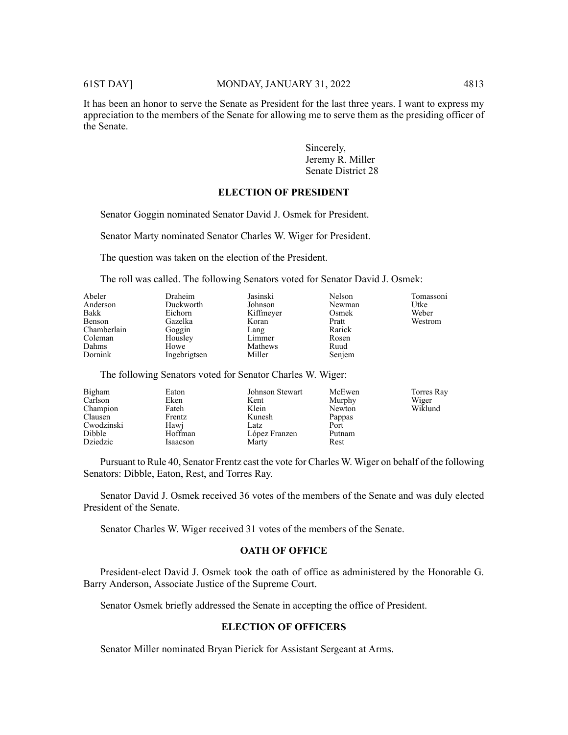It has been an honor to serve the Senate as President for the last three years. I want to express my appreciation to the members of the Senate for allowing me to serve them as the presiding officer of the Senate.

> Sincerely, Jeremy R. Miller Senate District 28

#### **ELECTION OF PRESIDENT**

Senator Goggin nominated Senator David J. Osmek for President.

Senator Marty nominated Senator Charles W. Wiger for President.

The question was taken on the election of the President.

The roll was called. The following Senators voted for Senator David J. Osmek:

| Abeler<br>Anderson<br>Bakk<br>Benson<br>Chamberlain<br>Coleman<br>Dahms<br>Dornink | Draheim<br>Duckworth<br>Eichorn<br>Gazelka<br>Goggin<br>Housley<br>Howe<br>Ingebrigtsen | Jasinski<br>Johnson<br>Kiffmeyer<br>Koran<br>Lang<br>Limmer<br>Mathews<br>Miller | Nelson<br>Newman<br>Osmek<br>Pratt<br>Rarick<br>Rosen<br>Ruud | Tomassoni<br>Utke<br>Weber<br>Westrom |
|------------------------------------------------------------------------------------|-----------------------------------------------------------------------------------------|----------------------------------------------------------------------------------|---------------------------------------------------------------|---------------------------------------|
|                                                                                    |                                                                                         |                                                                                  | Senjem                                                        |                                       |

The following Senators voted for Senator Charles W. Wiger:

| Bigham     | Eaton    | Johnson Stewart | McEwen | Torres Ray |
|------------|----------|-----------------|--------|------------|
| Carlson    | Eken     | Kent            | Murphy | Wiger      |
| Champion   | Fateh    | Klein           | Newton | Wiklund    |
| Clausen    | Frentz   | Kunesh          | Pappas |            |
| Cwodzinski | Hawi     | Latz            | Port   |            |
| Dibble     | Hoffman  | López Franzen   | Putnam |            |
| Dziedzic   | Isaacson | Marty           | Rest   |            |

Pursuant to Rule 40, Senator Frentz cast the vote for Charles W. Wiger on behalf of the following Senators: Dibble, Eaton, Rest, and Torres Ray.

Senator David J. Osmek received 36 votes of the members of the Senate and was duly elected President of the Senate.

Senator Charles W. Wiger received 31 votes of the members of the Senate.

# **OATH OF OFFICE**

President-elect David J. Osmek took the oath of office as administered by the Honorable G. Barry Anderson, Associate Justice of the Supreme Court.

Senator Osmek briefly addressed the Senate in accepting the office of President.

# **ELECTION OF OFFICERS**

Senator Miller nominated Bryan Pierick for Assistant Sergeant at Arms.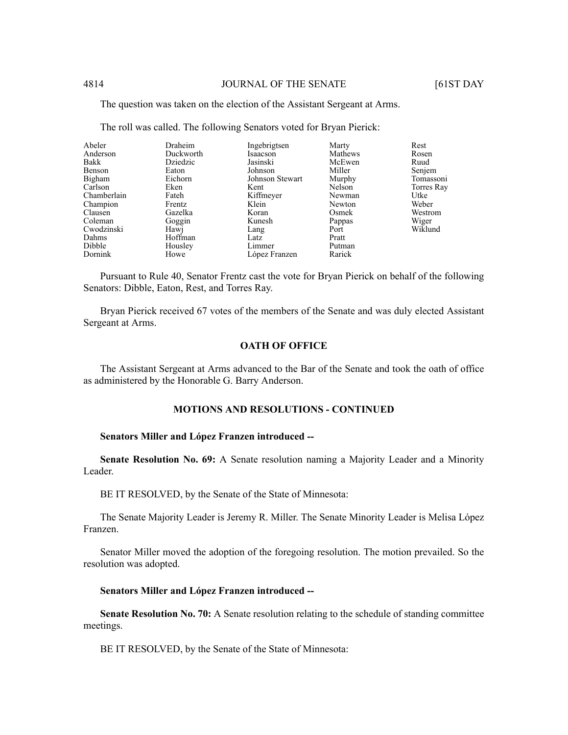The question was taken on the election of the Assistant Sergeant at Arms.

| Abeler      | Draheim   | Ingebrigtsen    | Marty   | Rest       |
|-------------|-----------|-----------------|---------|------------|
| Anderson    | Duckworth | Isaacson        | Mathews | Rosen      |
| Bakk        | Dziedzic  | Jasinski        | McEwen  | Ruud       |
| Benson      | Eaton     | Johnson         | Miller  | Senjem     |
| Bigham      | Eichorn   | Johnson Stewart | Murphy  | Tomassoni  |
| Carlson     | Eken      | Kent            | Nelson  | Torres Ray |
| Chamberlain | Fateh     | Kiffmeyer       | Newman  | Utke       |
| Champion    | Frentz    | Klein           | Newton  | Weber      |
| Clausen     | Gazelka   | Koran           | Osmek   | Westrom    |
| Coleman     | Goggin    | Kunesh          | Pappas  | Wiger      |
| Cwodzinski  | Hawj      | Lang            | Port    | Wiklund    |
| Dahms       | Hoffman   | Latz            | Pratt   |            |
| Dibble      | Housley   | Limmer          | Putman  |            |
| Dornink     | Howe      | López Franzen   | Rarick  |            |

The roll was called. The following Senators voted for Bryan Pierick:

Pursuant to Rule 40, Senator Frentz cast the vote for Bryan Pierick on behalf of the following Senators: Dibble, Eaton, Rest, and Torres Ray.

Bryan Pierick received 67 votes of the members of the Senate and was duly elected Assistant Sergeant at Arms.

### **OATH OF OFFICE**

The Assistant Sergeant at Arms advanced to the Bar of the Senate and took the oath of office as administered by the Honorable G. Barry Anderson.

# **MOTIONS AND RESOLUTIONS - CONTINUED**

#### **Senators Miller and López Franzen introduced --**

**Senate Resolution No. 69:** A Senate resolution naming a Majority Leader and a Minority Leader.

BE IT RESOLVED, by the Senate of the State of Minnesota:

The Senate Majority Leader is Jeremy R. Miller. The Senate Minority Leader is Melisa López Franzen.

Senator Miller moved the adoption of the foregoing resolution. The motion prevailed. So the resolution was adopted.

#### **Senators Miller and López Franzen introduced --**

**Senate Resolution No. 70:** A Senate resolution relating to the schedule of standing committee meetings.

BE IT RESOLVED, by the Senate of the State of Minnesota: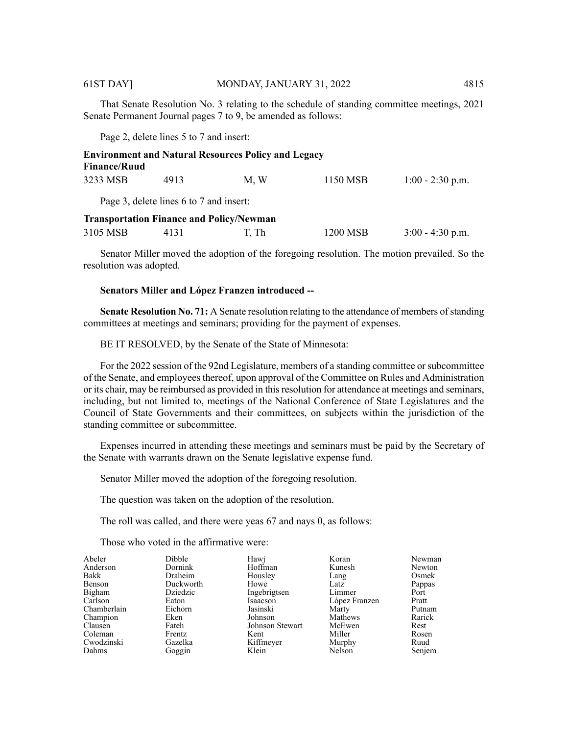That Senate Resolution No. 3 relating to the schedule of standing committee meetings, 2021 Senate Permanent Journal pages 7 to 9, be amended as follows:

Page 2, delete lines 5 to 7 and insert:

| <b>Finance/Ruud</b> |                                                 | <b>Environment and Natural Resources Policy and Legacy</b> |          |                    |
|---------------------|-------------------------------------------------|------------------------------------------------------------|----------|--------------------|
| 3233 MSB            | 4913                                            | M.W                                                        | 1150 MSB | $1:00 - 2:30$ p.m. |
|                     | Page 3, delete lines 6 to 7 and insert:         |                                                            |          |                    |
|                     | <b>Transportation Finance and Policy/Newman</b> |                                                            |          |                    |
| 3105 MSB            | 4131                                            | T, Th                                                      | 1200 MSB | $3:00 - 4:30$ p.m. |

Senator Miller moved the adoption of the foregoing resolution. The motion prevailed. So the resolution was adopted.

# **Senators Miller and López Franzen introduced --**

**Senate Resolution No. 71:** A Senate resolution relating to the attendance of members of standing committees at meetings and seminars; providing for the payment of expenses.

BE IT RESOLVED, by the Senate of the State of Minnesota:

For the 2022 session of the 92nd Legislature, members of a standing committee orsubcommittee of the Senate, and employees thereof, upon approval of the Committee on Rules and Administration or its chair, may be reimbursed as provided in this resolution for attendance at meetings and seminars, including, but not limited to, meetings of the National Conference of State Legislatures and the Council of State Governments and their committees, on subjects within the jurisdiction of the standing committee or subcommittee.

Expenses incurred in attending these meetings and seminars must be paid by the Secretary of the Senate with warrants drawn on the Senate legislative expense fund.

Senator Miller moved the adoption of the foregoing resolution.

The question was taken on the adoption of the resolution.

The roll was called, and there were yeas 67 and nays 0, as follows:

Those who voted in the affirmative were:

| Abeler      | <b>Dibble</b> | Hawj            | Koran         | Newman |
|-------------|---------------|-----------------|---------------|--------|
| Anderson    | Dornink       | Hoffman         | Kunesh        | Newton |
| Bakk        | Draheim       | Housley         | Lang          | Osmek  |
| Benson      | Duckworth     | Howe            | Latz          | Pappas |
| Bigham      | Dziedzic      | Ingebrigtsen    | Limmer        | Port   |
| Carlson     | Eaton         | Isaacson        | López Franzen | Pratt  |
| Chamberlain | Eichorn       | Jasinski        | Marty         | Putnam |
| Champion    | Eken          | Johnson         | Mathews       | Rarick |
| Clausen     | Fateh         | Johnson Stewart | McEwen        | Rest   |
| Coleman     | Frentz        | Kent            | Miller        | Rosen  |
| Cwodzinski  | Gazelka       | Kiffmeyer       | Murphy        | Ruud   |
| Dahms       | Goggin        | Klein           | Nelson        | Senjem |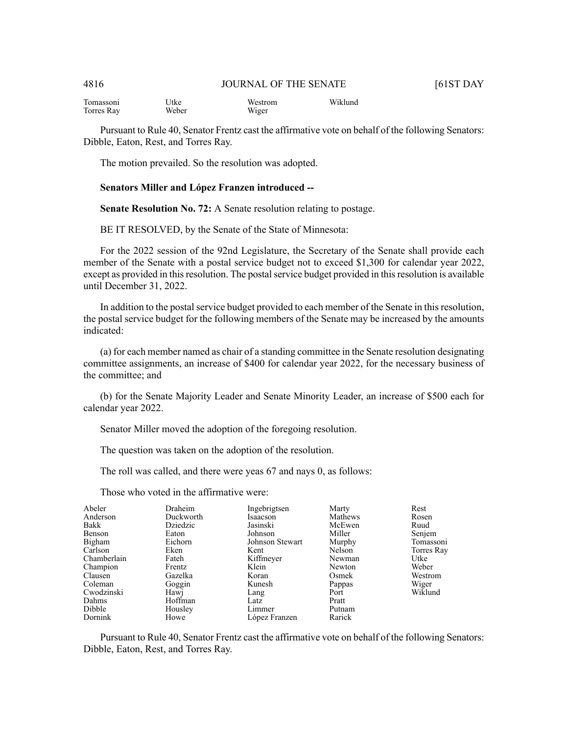| Tomassoni  | Utke  | Westrom | Wiklund |
|------------|-------|---------|---------|
| Torres Ray | Weber | Wiger   |         |

Pursuant to Rule 40, Senator Frentz cast the affirmative vote on behalf of the following Senators: Dibble, Eaton, Rest, and Torres Ray.

The motion prevailed. So the resolution was adopted.

#### **Senators Miller and López Franzen introduced --**

**Senate Resolution No. 72:** A Senate resolution relating to postage.

BE IT RESOLVED, by the Senate of the State of Minnesota:

For the 2022 session of the 92nd Legislature, the Secretary of the Senate shall provide each member of the Senate with a postal service budget not to exceed \$1,300 for calendar year 2022, except as provided in this resolution. The postal service budget provided in this resolution is available until December 31, 2022.

In addition to the postal service budget provided to each member of the Senate in this resolution, the postal service budget for the following members of the Senate may be increased by the amounts indicated:

(a) for each member named as chair of a standing committee in the Senate resolution designating committee assignments, an increase of \$400 for calendar year 2022, for the necessary business of the committee; and

(b) for the Senate Majority Leader and Senate Minority Leader, an increase of \$500 each for calendar year 2022.

Senator Miller moved the adoption of the foregoing resolution.

The question was taken on the adoption of the resolution.

The roll was called, and there were yeas 67 and nays 0, as follows:

| Draheim   | Ingebrigtsen  | Marty                                                                              | Rest                                                                                                      |
|-----------|---------------|------------------------------------------------------------------------------------|-----------------------------------------------------------------------------------------------------------|
| Duckworth | Isaacson      |                                                                                    | Rosen                                                                                                     |
| Dziedzic  | Jasinski      |                                                                                    | Ruud                                                                                                      |
| Eaton     |               |                                                                                    | Senjem                                                                                                    |
| Eichorn   |               |                                                                                    | Tomassoni                                                                                                 |
| Eken      |               |                                                                                    | Torres Ray                                                                                                |
| Fateh     |               |                                                                                    | Utke                                                                                                      |
| Frentz    | Klein         |                                                                                    | Weber                                                                                                     |
| Gazelka   |               |                                                                                    | Westrom                                                                                                   |
| Goggin    |               |                                                                                    | Wiger                                                                                                     |
| Hawj      |               | Port                                                                               | Wiklund                                                                                                   |
| Hoffman   |               |                                                                                    |                                                                                                           |
| Housley   | Limmer        |                                                                                    |                                                                                                           |
| Howe      | López Franzen | Rarick                                                                             |                                                                                                           |
|           |               | Johnson<br>Johnson Stewart<br>Kent<br>Kiffmeyer<br>Koran<br>Kunesh<br>Lang<br>Latz | Mathews<br>McEwen<br>Miller<br>Murphy<br>Nelson<br>Newman<br>Newton<br>Osmek<br>Pappas<br>Pratt<br>Putnam |

Those who voted in the affirmative were:

Pursuant to Rule 40, Senator Frentz cast the affirmative vote on behalf of the following Senators: Dibble, Eaton, Rest, and Torres Ray.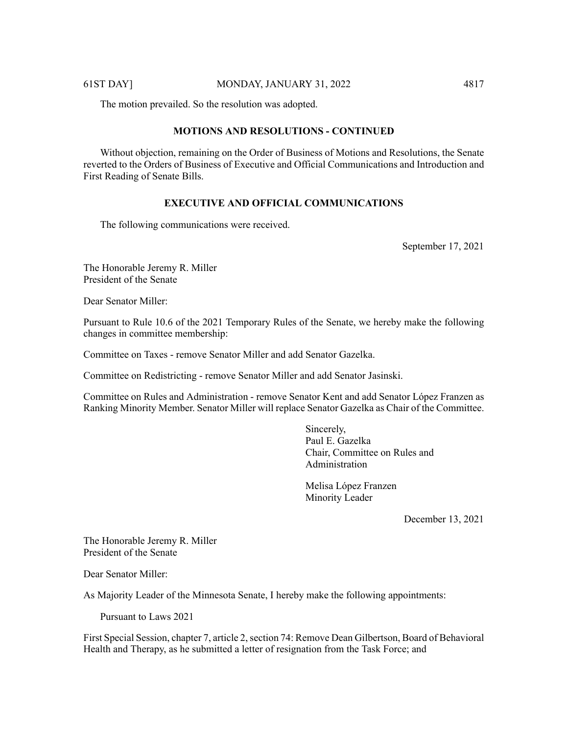The motion prevailed. So the resolution was adopted.

# **MOTIONS AND RESOLUTIONS - CONTINUED**

Without objection, remaining on the Order of Business of Motions and Resolutions, the Senate reverted to the Orders of Business of Executive and Official Communications and Introduction and First Reading of Senate Bills.

#### **EXECUTIVE AND OFFICIAL COMMUNICATIONS**

The following communications were received.

September 17, 2021

The Honorable Jeremy R. Miller President of the Senate

Dear Senator Miller:

Pursuant to Rule 10.6 of the 2021 Temporary Rules of the Senate, we hereby make the following changes in committee membership:

Committee on Taxes - remove Senator Miller and add Senator Gazelka.

Committee on Redistricting - remove Senator Miller and add Senator Jasinski.

Committee on Rules and Administration - remove Senator Kent and add Senator Lόpez Franzen as Ranking Minority Member. Senator Miller will replace Senator Gazelka as Chair of the Committee.

> Sincerely, Paul E. Gazelka Chair, Committee on Rules and Administration

Melisa Lόpez Franzen Minority Leader

December 13, 2021

The Honorable Jeremy R. Miller President of the Senate

Dear Senator Miller:

As Majority Leader of the Minnesota Senate, I hereby make the following appointments:

Pursuant to Laws 2021

First Special Session, chapter 7, article 2, section 74: Remove Dean Gilbertson, Board of Behavioral Health and Therapy, as he submitted a letter of resignation from the Task Force; and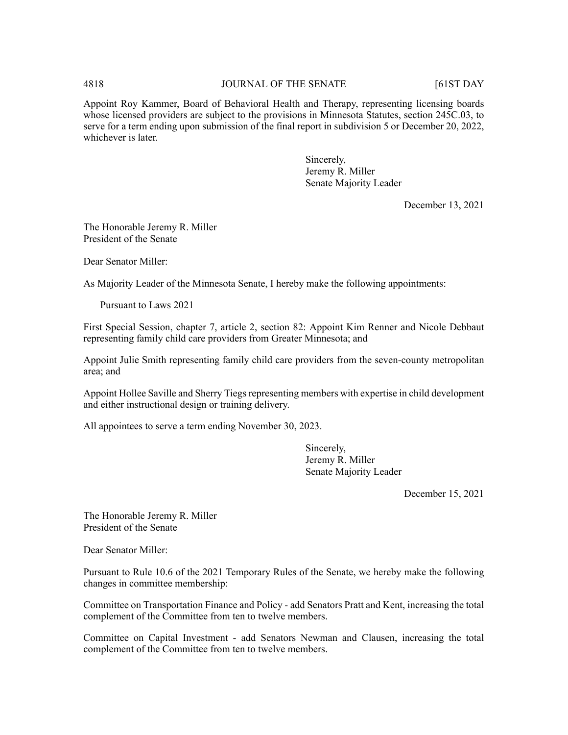# 4818 **JOURNAL OF THE SENATE** [61ST DAY

Appoint Roy Kammer, Board of Behavioral Health and Therapy, representing licensing boards whose licensed providers are subject to the provisions in Minnesota Statutes, section 245C.03, to serve for a term ending upon submission of the final report in subdivision 5 or December 20, 2022, whichever is later.

> Sincerely, Jeremy R. Miller Senate Majority Leader

> > December 13, 2021

The Honorable Jeremy R. Miller President of the Senate

Dear Senator Miller:

As Majority Leader of the Minnesota Senate, I hereby make the following appointments:

Pursuant to Laws 2021

First Special Session, chapter 7, article 2, section 82: Appoint Kim Renner and Nicole Debbaut representing family child care providers from Greater Minnesota; and

Appoint Julie Smith representing family child care providers from the seven-county metropolitan area; and

Appoint Hollee Saville and Sherry Tiegs representing members with expertise in child development and either instructional design or training delivery.

All appointees to serve a term ending November 30, 2023.

Sincerely, Jeremy R. Miller Senate Majority Leader

December 15, 2021

The Honorable Jeremy R. Miller President of the Senate

Dear Senator Miller:

Pursuant to Rule 10.6 of the 2021 Temporary Rules of the Senate, we hereby make the following changes in committee membership:

Committee on Transportation Finance and Policy - add Senators Pratt and Kent, increasing the total complement of the Committee from ten to twelve members.

Committee on Capital Investment - add Senators Newman and Clausen, increasing the total complement of the Committee from ten to twelve members.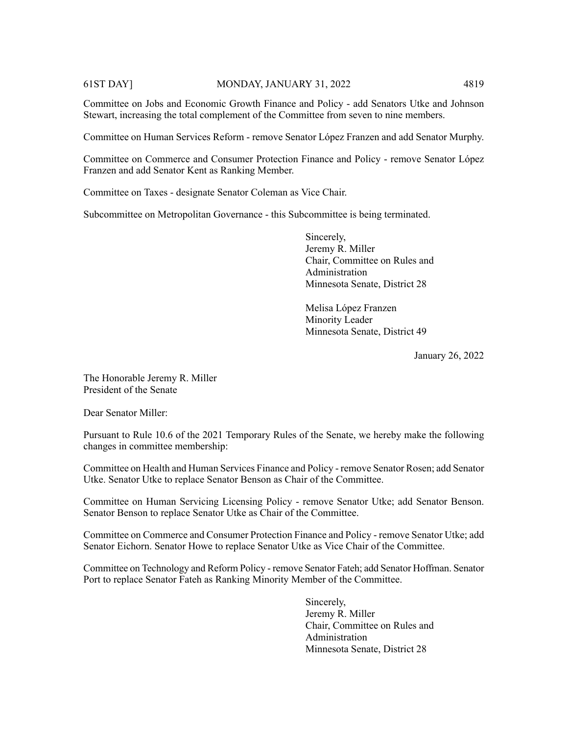Committee on Jobs and Economic Growth Finance and Policy - add Senators Utke and Johnson Stewart, increasing the total complement of the Committee from seven to nine members.

Committee on Human Services Reform - remove Senator Lόpez Franzen and add Senator Murphy.

Committee on Commerce and Consumer Protection Finance and Policy - remove Senator Lόpez Franzen and add Senator Kent as Ranking Member.

Committee on Taxes - designate Senator Coleman as Vice Chair.

Subcommittee on Metropolitan Governance - this Subcommittee is being terminated.

Sincerely, Jeremy R. Miller Chair, Committee on Rules and Administration Minnesota Senate, District 28

Melisa Lόpez Franzen Minority Leader Minnesota Senate, District 49

January 26, 2022

The Honorable Jeremy R. Miller President of the Senate

Dear Senator Miller:

Pursuant to Rule 10.6 of the 2021 Temporary Rules of the Senate, we hereby make the following changes in committee membership:

Committee on Health and Human Services Finance and Policy - remove Senator Rosen; add Senator Utke. Senator Utke to replace Senator Benson as Chair of the Committee.

Committee on Human Servicing Licensing Policy - remove Senator Utke; add Senator Benson. Senator Benson to replace Senator Utke as Chair of the Committee.

Committee on Commerce and Consumer Protection Finance and Policy - remove Senator Utke; add Senator Eichorn. Senator Howe to replace Senator Utke as Vice Chair of the Committee.

Committee on Technology and Reform Policy - remove Senator Fateh; add Senator Hoffman. Senator Port to replace Senator Fateh as Ranking Minority Member of the Committee.

> Sincerely, Jeremy R. Miller Chair, Committee on Rules and Administration Minnesota Senate, District 28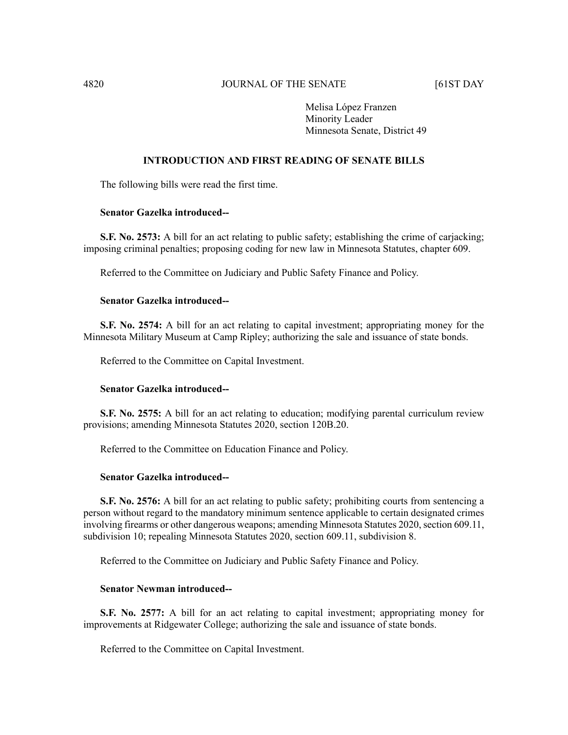# 4820 JOURNAL OF THE SENATE [61ST DAY

Melisa Lόpez Franzen Minority Leader Minnesota Senate, District 49

# **INTRODUCTION AND FIRST READING OF SENATE BILLS**

The following bills were read the first time.

#### **Senator Gazelka introduced--**

**S.F. No. 2573:** A bill for an act relating to public safety; establishing the crime of carjacking; imposing criminal penalties; proposing coding for new law in Minnesota Statutes, chapter 609.

Referred to the Committee on Judiciary and Public Safety Finance and Policy.

# **Senator Gazelka introduced--**

**S.F. No. 2574:** A bill for an act relating to capital investment; appropriating money for the Minnesota Military Museum at Camp Ripley; authorizing the sale and issuance of state bonds.

Referred to the Committee on Capital Investment.

# **Senator Gazelka introduced--**

**S.F. No. 2575:** A bill for an act relating to education; modifying parental curriculum review provisions; amending Minnesota Statutes 2020, section 120B.20.

Referred to the Committee on Education Finance and Policy.

# **Senator Gazelka introduced--**

**S.F. No. 2576:** A bill for an act relating to public safety; prohibiting courts from sentencing a person without regard to the mandatory minimum sentence applicable to certain designated crimes involving firearms or other dangerous weapons; amending Minnesota Statutes 2020, section 609.11, subdivision 10; repealing Minnesota Statutes 2020, section 609.11, subdivision 8.

Referred to the Committee on Judiciary and Public Safety Finance and Policy.

### **Senator Newman introduced--**

**S.F. No. 2577:** A bill for an act relating to capital investment; appropriating money for improvements at Ridgewater College; authorizing the sale and issuance of state bonds.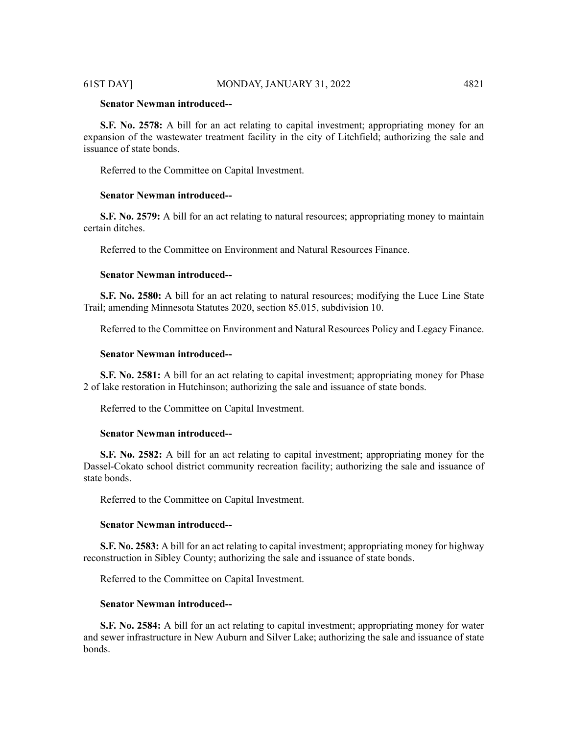#### 61ST DAY] MONDAY, JANUARY 31, 2022 4821

# **Senator Newman introduced--**

**S.F. No. 2578:** A bill for an act relating to capital investment; appropriating money for an expansion of the wastewater treatment facility in the city of Litchfield; authorizing the sale and issuance of state bonds.

Referred to the Committee on Capital Investment.

#### **Senator Newman introduced--**

**S.F. No. 2579:** A bill for an act relating to natural resources; appropriating money to maintain certain ditches.

Referred to the Committee on Environment and Natural Resources Finance.

#### **Senator Newman introduced--**

**S.F. No. 2580:** A bill for an act relating to natural resources; modifying the Luce Line State Trail; amending Minnesota Statutes 2020, section 85.015, subdivision 10.

Referred to the Committee on Environment and Natural Resources Policy and Legacy Finance.

# **Senator Newman introduced--**

**S.F. No. 2581:** A bill for an act relating to capital investment; appropriating money for Phase 2 of lake restoration in Hutchinson; authorizing the sale and issuance of state bonds.

Referred to the Committee on Capital Investment.

#### **Senator Newman introduced--**

**S.F. No. 2582:** A bill for an act relating to capital investment; appropriating money for the Dassel-Cokato school district community recreation facility; authorizing the sale and issuance of state bonds.

Referred to the Committee on Capital Investment.

#### **Senator Newman introduced--**

**S.F. No. 2583:** A bill for an act relating to capital investment; appropriating money for highway reconstruction in Sibley County; authorizing the sale and issuance of state bonds.

Referred to the Committee on Capital Investment.

# **Senator Newman introduced--**

**S.F. No. 2584:** A bill for an act relating to capital investment; appropriating money for water and sewer infrastructure in New Auburn and Silver Lake; authorizing the sale and issuance of state bonds.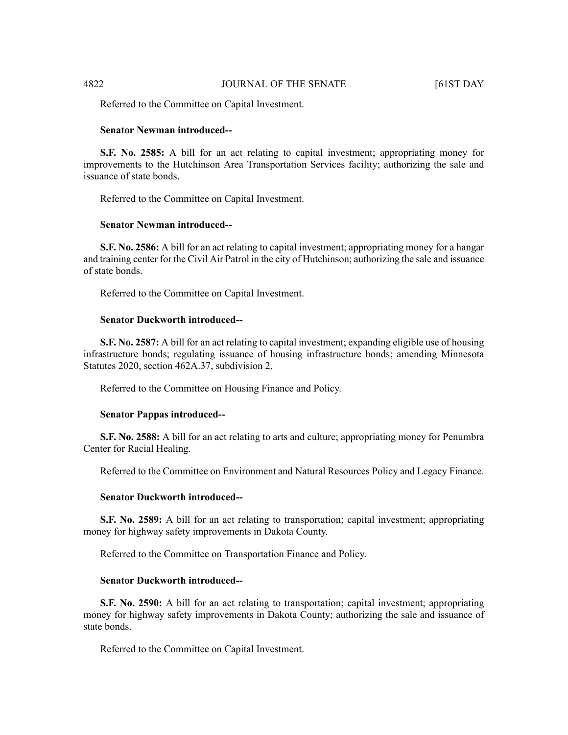Referred to the Committee on Capital Investment.

# **Senator Newman introduced--**

**S.F. No. 2585:** A bill for an act relating to capital investment; appropriating money for improvements to the Hutchinson Area Transportation Services facility; authorizing the sale and issuance of state bonds.

Referred to the Committee on Capital Investment.

# **Senator Newman introduced--**

**S.F. No. 2586:** A bill for an act relating to capital investment; appropriating money for a hangar and training center for the Civil Air Patrol in the city of Hutchinson; authorizing the sale and issuance of state bonds.

Referred to the Committee on Capital Investment.

# **Senator Duckworth introduced--**

**S.F. No. 2587:** A bill for an act relating to capital investment; expanding eligible use of housing infrastructure bonds; regulating issuance of housing infrastructure bonds; amending Minnesota Statutes 2020, section 462A.37, subdivision 2.

Referred to the Committee on Housing Finance and Policy.

#### **Senator Pappas introduced--**

**S.F. No. 2588:** A bill for an act relating to arts and culture; appropriating money for Penumbra Center for Racial Healing.

Referred to the Committee on Environment and Natural Resources Policy and Legacy Finance.

# **Senator Duckworth introduced--**

**S.F. No. 2589:** A bill for an act relating to transportation; capital investment; appropriating money for highway safety improvements in Dakota County.

Referred to the Committee on Transportation Finance and Policy.

#### **Senator Duckworth introduced--**

**S.F. No. 2590:** A bill for an act relating to transportation; capital investment; appropriating money for highway safety improvements in Dakota County; authorizing the sale and issuance of state bonds.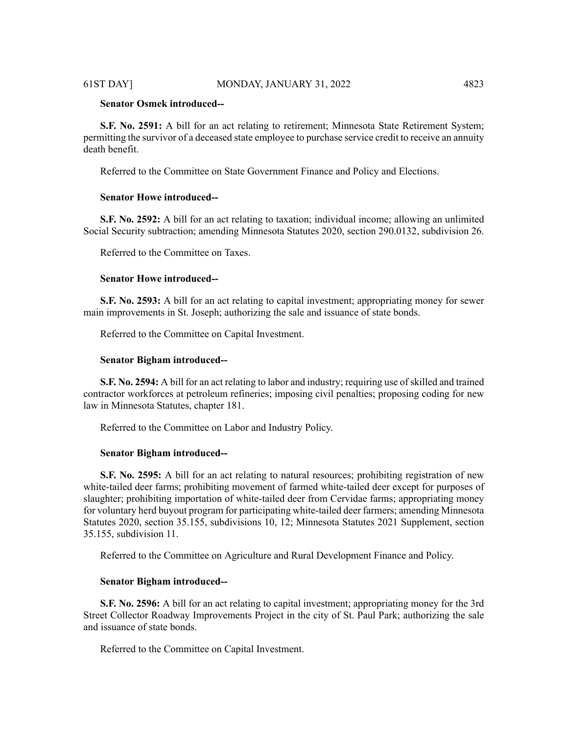# **Senator Osmek introduced--**

**S.F. No. 2591:** A bill for an act relating to retirement; Minnesota State Retirement System; permitting the survivor of a deceased state employee to purchase service credit to receive an annuity death benefit.

Referred to the Committee on State Government Finance and Policy and Elections.

### **Senator Howe introduced--**

**S.F. No. 2592:** A bill for an act relating to taxation; individual income; allowing an unlimited Social Security subtraction; amending Minnesota Statutes 2020, section 290.0132, subdivision 26.

Referred to the Committee on Taxes.

# **Senator Howe introduced--**

**S.F. No. 2593:** A bill for an act relating to capital investment; appropriating money for sewer main improvements in St. Joseph; authorizing the sale and issuance of state bonds.

Referred to the Committee on Capital Investment.

#### **Senator Bigham introduced--**

**S.F. No. 2594:** A bill for an act relating to labor and industry; requiring use of skilled and trained contractor workforces at petroleum refineries; imposing civil penalties; proposing coding for new law in Minnesota Statutes, chapter 181.

Referred to the Committee on Labor and Industry Policy.

#### **Senator Bigham introduced--**

**S.F. No. 2595:** A bill for an act relating to natural resources; prohibiting registration of new white-tailed deer farms; prohibiting movement of farmed white-tailed deer except for purposes of slaughter; prohibiting importation of white-tailed deer from Cervidae farms; appropriating money for voluntary herd buyout program for participating white-tailed deer farmers; amending Minnesota Statutes 2020, section 35.155, subdivisions 10, 12; Minnesota Statutes 2021 Supplement, section 35.155, subdivision 11.

Referred to the Committee on Agriculture and Rural Development Finance and Policy.

#### **Senator Bigham introduced--**

**S.F. No. 2596:** A bill for an act relating to capital investment; appropriating money for the 3rd Street Collector Roadway Improvements Project in the city of St. Paul Park; authorizing the sale and issuance of state bonds.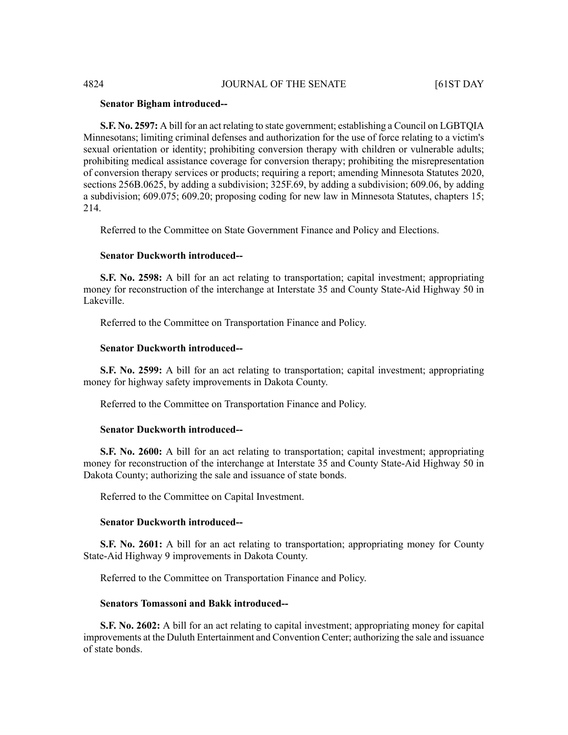# **Senator Bigham introduced--**

**S.F. No. 2597:** A bill for an act relating to state government; establishing a Council on LGBTQIA Minnesotans; limiting criminal defenses and authorization for the use of force relating to a victim's sexual orientation or identity; prohibiting conversion therapy with children or vulnerable adults; prohibiting medical assistance coverage for conversion therapy; prohibiting the misrepresentation of conversion therapy services or products; requiring a report; amending Minnesota Statutes 2020, sections 256B.0625, by adding a subdivision; 325F.69, by adding a subdivision; 609.06, by adding a subdivision; 609.075; 609.20; proposing coding for new law in Minnesota Statutes, chapters 15; 214.

Referred to the Committee on State Government Finance and Policy and Elections.

# **Senator Duckworth introduced--**

**S.F. No. 2598:** A bill for an act relating to transportation; capital investment; appropriating money for reconstruction of the interchange at Interstate 35 and County State-Aid Highway 50 in Lakeville.

Referred to the Committee on Transportation Finance and Policy.

#### **Senator Duckworth introduced--**

**S.F. No. 2599:** A bill for an act relating to transportation; capital investment; appropriating money for highway safety improvements in Dakota County.

Referred to the Committee on Transportation Finance and Policy.

# **Senator Duckworth introduced--**

**S.F. No. 2600:** A bill for an act relating to transportation; capital investment; appropriating money for reconstruction of the interchange at Interstate 35 and County State-Aid Highway 50 in Dakota County; authorizing the sale and issuance of state bonds.

Referred to the Committee on Capital Investment.

# **Senator Duckworth introduced--**

**S.F. No. 2601:** A bill for an act relating to transportation; appropriating money for County State-Aid Highway 9 improvements in Dakota County.

Referred to the Committee on Transportation Finance and Policy.

# **Senators Tomassoni and Bakk introduced--**

**S.F. No. 2602:** A bill for an act relating to capital investment; appropriating money for capital improvements at the Duluth Entertainment and Convention Center; authorizing the sale and issuance of state bonds.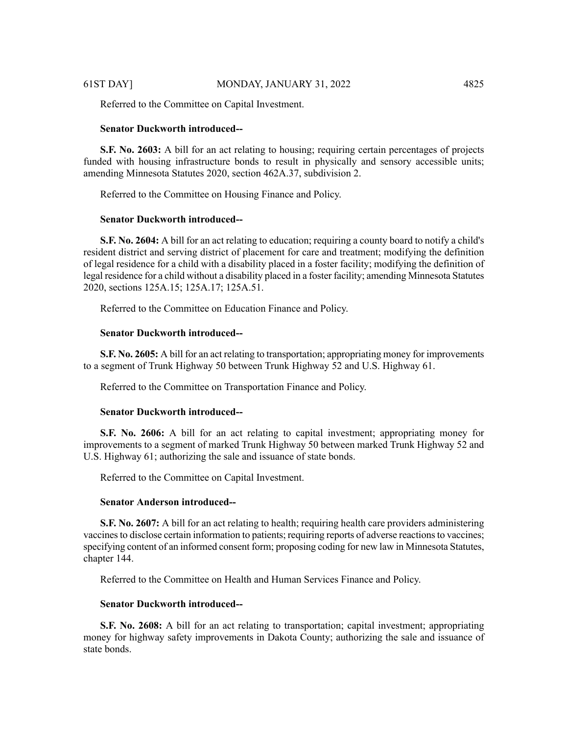Referred to the Committee on Capital Investment.

# **Senator Duckworth introduced--**

**S.F. No. 2603:** A bill for an act relating to housing; requiring certain percentages of projects funded with housing infrastructure bonds to result in physically and sensory accessible units; amending Minnesota Statutes 2020, section 462A.37, subdivision 2.

Referred to the Committee on Housing Finance and Policy.

# **Senator Duckworth introduced--**

**S.F. No. 2604:** A bill for an act relating to education; requiring a county board to notify a child's resident district and serving district of placement for care and treatment; modifying the definition of legal residence for a child with a disability placed in a foster facility; modifying the definition of legal residence for a child without a disability placed in a foster facility; amending Minnesota Statutes 2020, sections 125A.15; 125A.17; 125A.51.

Referred to the Committee on Education Finance and Policy.

# **Senator Duckworth introduced--**

**S.F. No. 2605:** A bill for an act relating to transportation; appropriating money for improvements to a segment of Trunk Highway 50 between Trunk Highway 52 and U.S. Highway 61.

Referred to the Committee on Transportation Finance and Policy.

#### **Senator Duckworth introduced--**

**S.F. No. 2606:** A bill for an act relating to capital investment; appropriating money for improvements to a segment of marked Trunk Highway 50 between marked Trunk Highway 52 and U.S. Highway 61; authorizing the sale and issuance of state bonds.

Referred to the Committee on Capital Investment.

#### **Senator Anderson introduced--**

**S.F. No. 2607:** A bill for an act relating to health; requiring health care providers administering vaccinesto disclose certain information to patients; requiring reports of adverse reactionsto vaccines; specifying content of an informed consent form; proposing coding for new law in Minnesota Statutes, chapter 144.

Referred to the Committee on Health and Human Services Finance and Policy.

# **Senator Duckworth introduced--**

**S.F. No. 2608:** A bill for an act relating to transportation; capital investment; appropriating money for highway safety improvements in Dakota County; authorizing the sale and issuance of state bonds.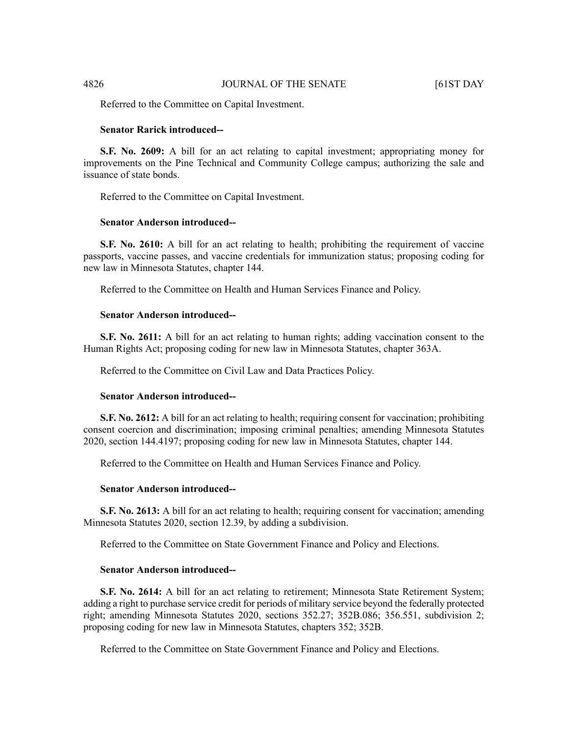Referred to the Committee on Capital Investment.

# **Senator Rarick introduced--**

**S.F. No. 2609:** A bill for an act relating to capital investment; appropriating money for improvements on the Pine Technical and Community College campus; authorizing the sale and issuance of state bonds.

Referred to the Committee on Capital Investment.

#### **Senator Anderson introduced--**

**S.F.** No. 2610: A bill for an act relating to health; prohibiting the requirement of vaccine passports, vaccine passes, and vaccine credentials for immunization status; proposing coding for new law in Minnesota Statutes, chapter 144.

Referred to the Committee on Health and Human Services Finance and Policy.

#### **Senator Anderson introduced--**

**S.F. No. 2611:** A bill for an act relating to human rights; adding vaccination consent to the Human Rights Act; proposing coding for new law in Minnesota Statutes, chapter 363A.

Referred to the Committee on Civil Law and Data Practices Policy.

#### **Senator Anderson introduced--**

**S.F. No. 2612:** A bill for an act relating to health; requiring consent for vaccination; prohibiting consent coercion and discrimination; imposing criminal penalties; amending Minnesota Statutes 2020, section 144.4197; proposing coding for new law in Minnesota Statutes, chapter 144.

Referred to the Committee on Health and Human Services Finance and Policy.

#### **Senator Anderson introduced--**

**S.F. No. 2613:** A bill for an act relating to health; requiring consent for vaccination; amending Minnesota Statutes 2020, section 12.39, by adding a subdivision.

Referred to the Committee on State Government Finance and Policy and Elections.

#### **Senator Anderson introduced--**

**S.F. No. 2614:** A bill for an act relating to retirement; Minnesota State Retirement System; adding a right to purchase service credit for periods of military service beyond the federally protected right; amending Minnesota Statutes 2020, sections 352.27; 352B.086; 356.551, subdivision 2; proposing coding for new law in Minnesota Statutes, chapters 352; 352B.

Referred to the Committee on State Government Finance and Policy and Elections.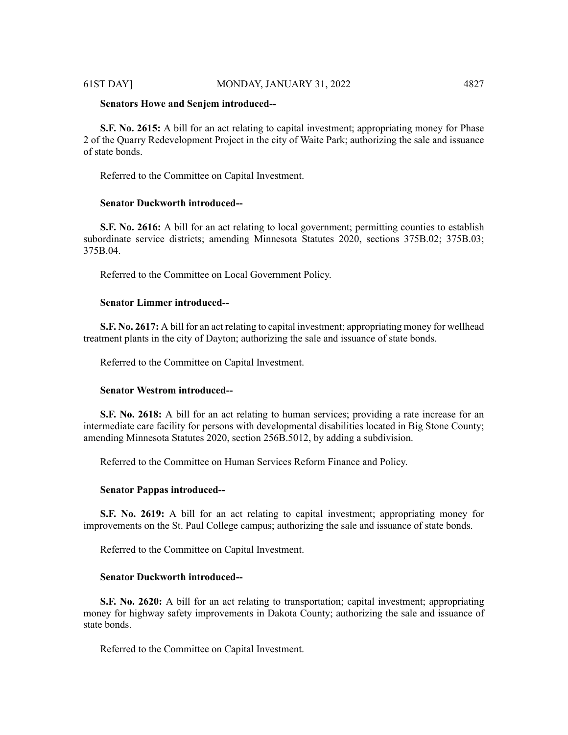#### 61ST DAY] MONDAY, JANUARY 31, 2022 4827

#### **Senators Howe and Senjem introduced--**

**S.F. No. 2615:** A bill for an act relating to capital investment; appropriating money for Phase 2 of the Quarry Redevelopment Project in the city of Waite Park; authorizing the sale and issuance of state bonds.

Referred to the Committee on Capital Investment.

#### **Senator Duckworth introduced--**

**S.F.** No. 2616: A bill for an act relating to local government; permitting counties to establish subordinate service districts; amending Minnesota Statutes 2020, sections 375B.02; 375B.03; 375B.04.

Referred to the Committee on Local Government Policy.

# **Senator Limmer introduced--**

**S.F. No. 2617:** A bill for an act relating to capital investment; appropriating money for wellhead treatment plants in the city of Dayton; authorizing the sale and issuance of state bonds.

Referred to the Committee on Capital Investment.

#### **Senator Westrom introduced--**

**S.F. No. 2618:** A bill for an act relating to human services; providing a rate increase for an intermediate care facility for persons with developmental disabilities located in Big Stone County; amending Minnesota Statutes 2020, section 256B.5012, by adding a subdivision.

Referred to the Committee on Human Services Reform Finance and Policy.

# **Senator Pappas introduced--**

**S.F. No. 2619:** A bill for an act relating to capital investment; appropriating money for improvements on the St. Paul College campus; authorizing the sale and issuance of state bonds.

Referred to the Committee on Capital Investment.

# **Senator Duckworth introduced--**

**S.F. No. 2620:** A bill for an act relating to transportation; capital investment; appropriating money for highway safety improvements in Dakota County; authorizing the sale and issuance of state bonds.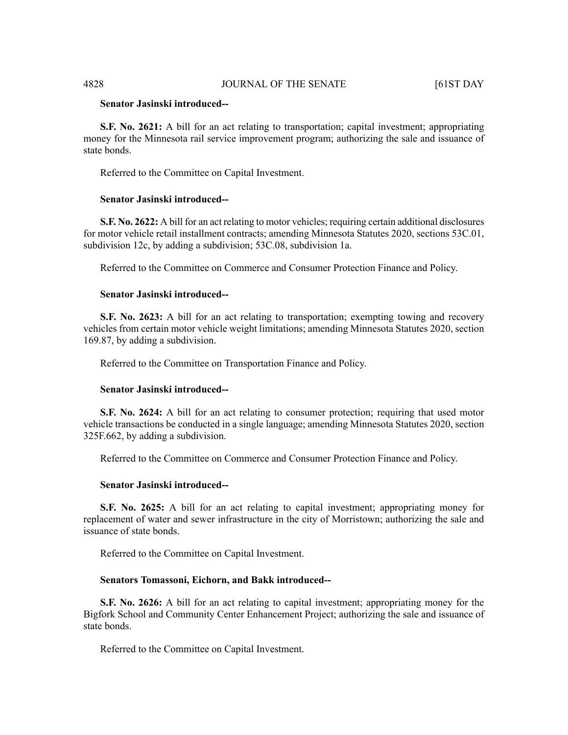# **Senator Jasinski introduced--**

**S.F. No. 2621:** A bill for an act relating to transportation; capital investment; appropriating money for the Minnesota rail service improvement program; authorizing the sale and issuance of state bonds.

Referred to the Committee on Capital Investment.

# **Senator Jasinski introduced--**

**S.F. No. 2622:** A bill for an act relating to motor vehicles; requiring certain additional disclosures for motor vehicle retail installment contracts; amending Minnesota Statutes 2020, sections 53C.01, subdivision 12c, by adding a subdivision; 53C.08, subdivision 1a.

Referred to the Committee on Commerce and Consumer Protection Finance and Policy.

# **Senator Jasinski introduced--**

**S.F. No. 2623:** A bill for an act relating to transportation; exempting towing and recovery vehicles from certain motor vehicle weight limitations; amending Minnesota Statutes 2020, section 169.87, by adding a subdivision.

Referred to the Committee on Transportation Finance and Policy.

#### **Senator Jasinski introduced--**

**S.F. No. 2624:** A bill for an act relating to consumer protection; requiring that used motor vehicle transactions be conducted in a single language; amending Minnesota Statutes 2020, section 325F.662, by adding a subdivision.

Referred to the Committee on Commerce and Consumer Protection Finance and Policy.

# **Senator Jasinski introduced--**

**S.F. No. 2625:** A bill for an act relating to capital investment; appropriating money for replacement of water and sewer infrastructure in the city of Morristown; authorizing the sale and issuance of state bonds.

Referred to the Committee on Capital Investment.

# **Senators Tomassoni, Eichorn, and Bakk introduced--**

**S.F. No. 2626:** A bill for an act relating to capital investment; appropriating money for the Bigfork School and Community Center Enhancement Project; authorizing the sale and issuance of state bonds.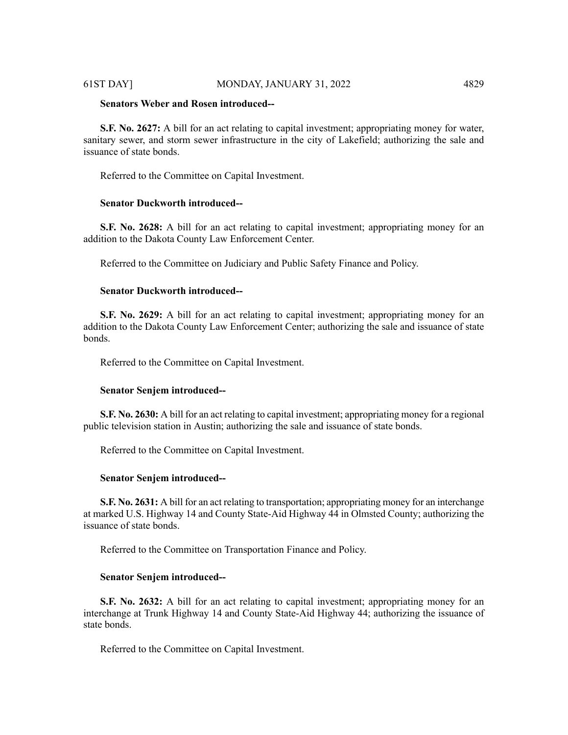### 61ST DAY] MONDAY, JANUARY 31, 2022 4829

# **Senators Weber and Rosen introduced--**

**S.F. No. 2627:** A bill for an act relating to capital investment; appropriating money for water, sanitary sewer, and storm sewer infrastructure in the city of Lakefield; authorizing the sale and issuance of state bonds.

Referred to the Committee on Capital Investment.

# **Senator Duckworth introduced--**

**S.F. No. 2628:** A bill for an act relating to capital investment; appropriating money for an addition to the Dakota County Law Enforcement Center.

Referred to the Committee on Judiciary and Public Safety Finance and Policy.

# **Senator Duckworth introduced--**

**S.F. No. 2629:** A bill for an act relating to capital investment; appropriating money for an addition to the Dakota County Law Enforcement Center; authorizing the sale and issuance of state bonds.

Referred to the Committee on Capital Investment.

#### **Senator Senjem introduced--**

**S.F. No. 2630:** A bill for an act relating to capital investment; appropriating money for a regional public television station in Austin; authorizing the sale and issuance of state bonds.

Referred to the Committee on Capital Investment.

#### **Senator Senjem introduced--**

**S.F. No. 2631:** A bill for an act relating to transportation; appropriating money for an interchange at marked U.S. Highway 14 and County State-Aid Highway 44 in Olmsted County; authorizing the issuance of state bonds.

Referred to the Committee on Transportation Finance and Policy.

#### **Senator Senjem introduced--**

**S.F. No. 2632:** A bill for an act relating to capital investment; appropriating money for an interchange at Trunk Highway 14 and County State-Aid Highway 44; authorizing the issuance of state bonds.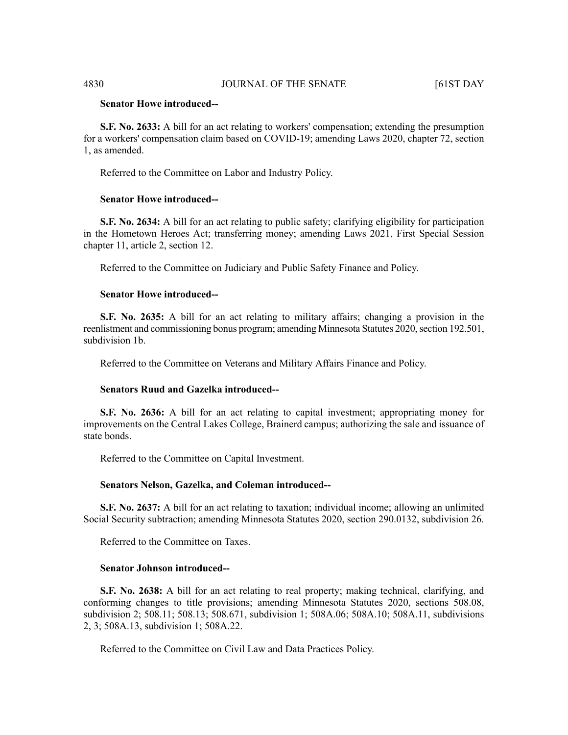# **Senator Howe introduced--**

**S.F. No. 2633:** A bill for an act relating to workers' compensation; extending the presumption for a workers' compensation claim based on COVID-19; amending Laws 2020, chapter 72, section 1, as amended.

Referred to the Committee on Labor and Industry Policy.

# **Senator Howe introduced--**

**S.F. No. 2634:** A bill for an act relating to public safety; clarifying eligibility for participation in the Hometown Heroes Act; transferring money; amending Laws 2021, First Special Session chapter 11, article 2, section 12.

Referred to the Committee on Judiciary and Public Safety Finance and Policy.

### **Senator Howe introduced--**

**S.F. No. 2635:** A bill for an act relating to military affairs; changing a provision in the reenlistment and commissioning bonus program; amending Minnesota Statutes 2020, section 192.501, subdivision 1b.

Referred to the Committee on Veterans and Military Affairs Finance and Policy.

#### **Senators Ruud and Gazelka introduced--**

**S.F. No. 2636:** A bill for an act relating to capital investment; appropriating money for improvements on the Central Lakes College, Brainerd campus; authorizing the sale and issuance of state bonds.

Referred to the Committee on Capital Investment.

### **Senators Nelson, Gazelka, and Coleman introduced--**

**S.F. No. 2637:** A bill for an act relating to taxation; individual income; allowing an unlimited Social Security subtraction; amending Minnesota Statutes 2020, section 290.0132, subdivision 26.

Referred to the Committee on Taxes.

# **Senator Johnson introduced--**

**S.F. No. 2638:** A bill for an act relating to real property; making technical, clarifying, and conforming changes to title provisions; amending Minnesota Statutes 2020, sections 508.08, subdivision 2; 508.11; 508.13; 508.671, subdivision 1; 508A.06; 508A.10; 508A.11, subdivisions 2, 3; 508A.13, subdivision 1; 508A.22.

Referred to the Committee on Civil Law and Data Practices Policy.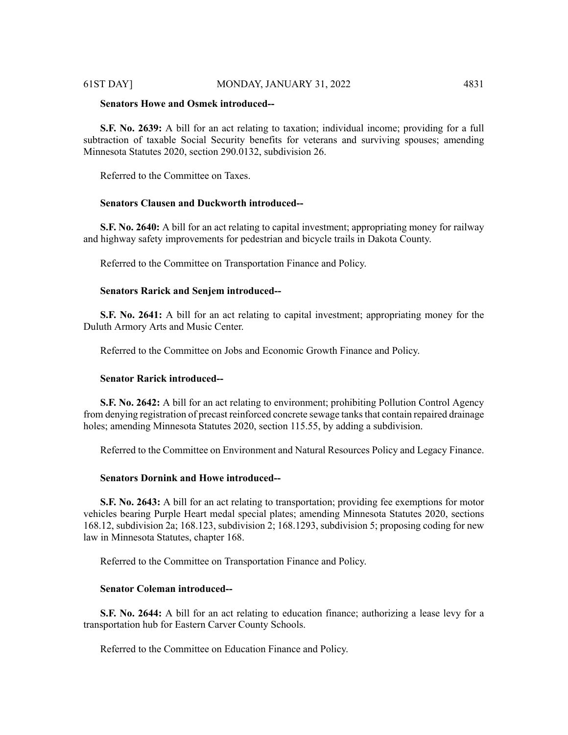# 61ST DAY] MONDAY, JANUARY 31, 2022 4831

# **Senators Howe and Osmek introduced--**

**S.F. No. 2639:** A bill for an act relating to taxation; individual income; providing for a full subtraction of taxable Social Security benefits for veterans and surviving spouses; amending Minnesota Statutes 2020, section 290.0132, subdivision 26.

Referred to the Committee on Taxes.

# **Senators Clausen and Duckworth introduced--**

**S.F. No. 2640:** A bill for an act relating to capital investment; appropriating money for railway and highway safety improvements for pedestrian and bicycle trails in Dakota County.

Referred to the Committee on Transportation Finance and Policy.

# **Senators Rarick and Senjem introduced--**

**S.F. No. 2641:** A bill for an act relating to capital investment; appropriating money for the Duluth Armory Arts and Music Center.

Referred to the Committee on Jobs and Economic Growth Finance and Policy.

# **Senator Rarick introduced--**

**S.F. No. 2642:** A bill for an act relating to environment; prohibiting Pollution Control Agency from denying registration of precast reinforced concrete sewage tanks that contain repaired drainage holes; amending Minnesota Statutes 2020, section 115.55, by adding a subdivision.

Referred to the Committee on Environment and Natural Resources Policy and Legacy Finance.

# **Senators Dornink and Howe introduced--**

**S.F. No. 2643:** A bill for an act relating to transportation; providing fee exemptions for motor vehicles bearing Purple Heart medal special plates; amending Minnesota Statutes 2020, sections 168.12, subdivision 2a; 168.123, subdivision 2; 168.1293, subdivision 5; proposing coding for new law in Minnesota Statutes, chapter 168.

Referred to the Committee on Transportation Finance and Policy.

# **Senator Coleman introduced--**

**S.F. No. 2644:** A bill for an act relating to education finance; authorizing a lease levy for a transportation hub for Eastern Carver County Schools.

Referred to the Committee on Education Finance and Policy.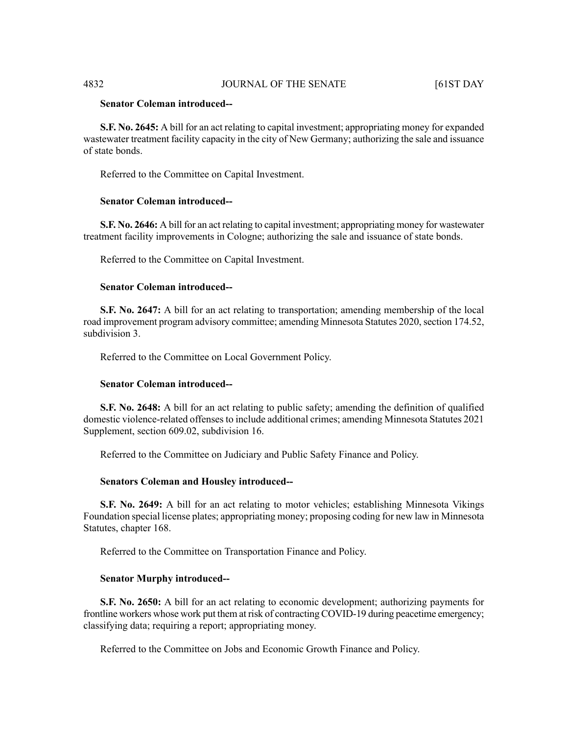# **Senator Coleman introduced--**

**S.F. No. 2645:** A bill for an act relating to capital investment; appropriating money for expanded wastewater treatment facility capacity in the city of New Germany; authorizing the sale and issuance of state bonds.

Referred to the Committee on Capital Investment.

#### **Senator Coleman introduced--**

**S.F. No. 2646:** A bill for an act relating to capital investment; appropriating money for wastewater treatment facility improvements in Cologne; authorizing the sale and issuance of state bonds.

Referred to the Committee on Capital Investment.

#### **Senator Coleman introduced--**

**S.F. No. 2647:** A bill for an act relating to transportation; amending membership of the local road improvement program advisory committee; amending Minnesota Statutes 2020, section 174.52, subdivision 3.

Referred to the Committee on Local Government Policy.

# **Senator Coleman introduced--**

**S.F. No. 2648:** A bill for an act relating to public safety; amending the definition of qualified domestic violence-related offenses to include additional crimes; amending Minnesota Statutes 2021 Supplement, section 609.02, subdivision 16.

Referred to the Committee on Judiciary and Public Safety Finance and Policy.

#### **Senators Coleman and Housley introduced--**

**S.F. No. 2649:** A bill for an act relating to motor vehicles; establishing Minnesota Vikings Foundation special license plates; appropriating money; proposing coding for new law in Minnesota Statutes, chapter 168.

Referred to the Committee on Transportation Finance and Policy.

# **Senator Murphy introduced--**

**S.F. No. 2650:** A bill for an act relating to economic development; authorizing payments for frontline workers whose work put them at risk of contracting COVID-19 during peacetime emergency; classifying data; requiring a report; appropriating money.

Referred to the Committee on Jobs and Economic Growth Finance and Policy.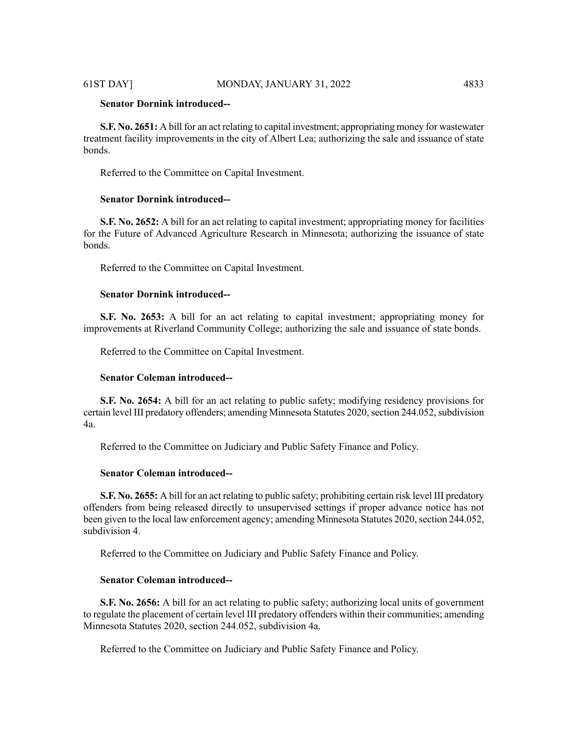# **Senator Dornink introduced--**

**S.F. No. 2651:** A bill for an act relating to capital investment; appropriating money for wastewater treatment facility improvements in the city of Albert Lea; authorizing the sale and issuance of state bonds.

Referred to the Committee on Capital Investment.

# **Senator Dornink introduced--**

**S.F. No. 2652:** A bill for an act relating to capital investment; appropriating money for facilities for the Future of Advanced Agriculture Research in Minnesota; authorizing the issuance of state bonds.

Referred to the Committee on Capital Investment.

#### **Senator Dornink introduced--**

**S.F. No. 2653:** A bill for an act relating to capital investment; appropriating money for improvements at Riverland Community College; authorizing the sale and issuance of state bonds.

Referred to the Committee on Capital Investment.

# **Senator Coleman introduced--**

**S.F. No. 2654:** A bill for an act relating to public safety; modifying residency provisions for certain level III predatory offenders; amending Minnesota Statutes 2020, section 244.052, subdivision 4a.

Referred to the Committee on Judiciary and Public Safety Finance and Policy.

#### **Senator Coleman introduced--**

**S.F. No. 2655:** A bill for an act relating to public safety; prohibiting certain risk level III predatory offenders from being released directly to unsupervised settings if proper advance notice has not been given to the local law enforcement agency; amending Minnesota Statutes 2020, section 244.052, subdivision 4.

Referred to the Committee on Judiciary and Public Safety Finance and Policy.

# **Senator Coleman introduced--**

**S.F. No. 2656:** A bill for an act relating to public safety; authorizing local units of government to regulate the placement of certain level III predatory offenders within their communities; amending Minnesota Statutes 2020, section 244.052, subdivision 4a.

Referred to the Committee on Judiciary and Public Safety Finance and Policy.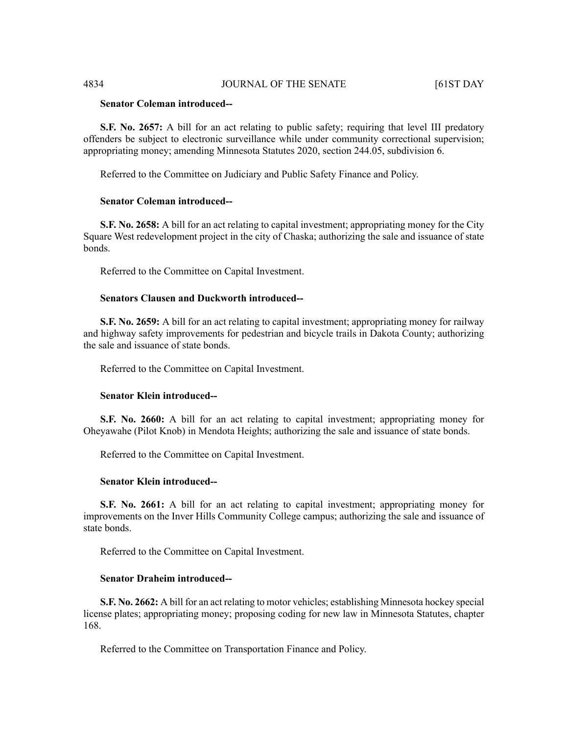# **Senator Coleman introduced--**

**S.F.** No. 2657: A bill for an act relating to public safety; requiring that level III predatory offenders be subject to electronic surveillance while under community correctional supervision; appropriating money; amending Minnesota Statutes 2020, section 244.05, subdivision 6.

Referred to the Committee on Judiciary and Public Safety Finance and Policy.

#### **Senator Coleman introduced--**

**S.F. No. 2658:** A bill for an act relating to capital investment; appropriating money for the City Square West redevelopment project in the city of Chaska; authorizing the sale and issuance of state bonds.

Referred to the Committee on Capital Investment.

# **Senators Clausen and Duckworth introduced--**

**S.F. No. 2659:** A bill for an act relating to capital investment; appropriating money for railway and highway safety improvements for pedestrian and bicycle trails in Dakota County; authorizing the sale and issuance of state bonds.

Referred to the Committee on Capital Investment.

#### **Senator Klein introduced--**

**S.F. No. 2660:** A bill for an act relating to capital investment; appropriating money for Oheyawahe (Pilot Knob) in Mendota Heights; authorizing the sale and issuance of state bonds.

Referred to the Committee on Capital Investment.

# **Senator Klein introduced--**

**S.F. No. 2661:** A bill for an act relating to capital investment; appropriating money for improvements on the Inver Hills Community College campus; authorizing the sale and issuance of state bonds.

Referred to the Committee on Capital Investment.

#### **Senator Draheim introduced--**

**S.F. No. 2662:** A bill for an act relating to motor vehicles; establishing Minnesota hockey special license plates; appropriating money; proposing coding for new law in Minnesota Statutes, chapter 168.

Referred to the Committee on Transportation Finance and Policy.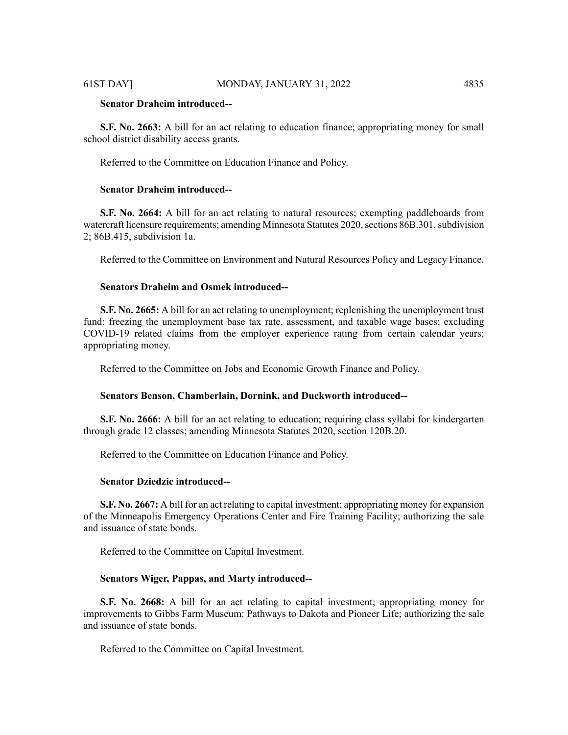# **Senator Draheim introduced--**

**S.F. No. 2663:** A bill for an act relating to education finance; appropriating money for small school district disability access grants.

Referred to the Committee on Education Finance and Policy.

# **Senator Draheim introduced--**

**S.F. No. 2664:** A bill for an act relating to natural resources; exempting paddleboards from watercraft licensure requirements; amending Minnesota Statutes 2020, sections 86B.301, subdivision 2; 86B.415, subdivision 1a.

Referred to the Committee on Environment and Natural Resources Policy and Legacy Finance.

# **Senators Draheim and Osmek introduced--**

**S.F. No. 2665:** A bill for an act relating to unemployment; replenishing the unemployment trust fund; freezing the unemployment base tax rate, assessment, and taxable wage bases; excluding COVID-19 related claims from the employer experience rating from certain calendar years; appropriating money.

Referred to the Committee on Jobs and Economic Growth Finance and Policy.

#### **Senators Benson, Chamberlain, Dornink, and Duckworth introduced--**

**S.F. No. 2666:** A bill for an act relating to education; requiring class syllabi for kindergarten through grade 12 classes; amending Minnesota Statutes 2020, section 120B.20.

Referred to the Committee on Education Finance and Policy.

# **Senator Dziedzic introduced--**

**S.F. No. 2667:** A bill for an act relating to capital investment; appropriating money for expansion of the Minneapolis Emergency Operations Center and Fire Training Facility; authorizing the sale and issuance of state bonds.

Referred to the Committee on Capital Investment.

### **Senators Wiger, Pappas, and Marty introduced--**

**S.F. No. 2668:** A bill for an act relating to capital investment; appropriating money for improvements to Gibbs Farm Museum: Pathways to Dakota and Pioneer Life; authorizing the sale and issuance of state bonds.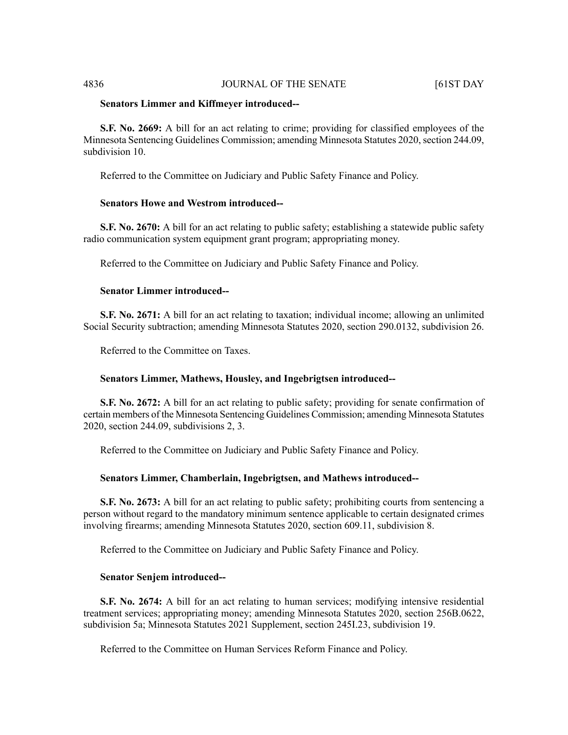### 4836 JOURNAL OF THE SENATE [61ST DAY

#### **Senators Limmer and Kiffmeyer introduced--**

**S.F. No. 2669:** A bill for an act relating to crime; providing for classified employees of the Minnesota Sentencing Guidelines Commission; amending Minnesota Statutes 2020, section 244.09, subdivision 10.

Referred to the Committee on Judiciary and Public Safety Finance and Policy.

# **Senators Howe and Westrom introduced--**

**S.F. No. 2670:** A bill for an act relating to public safety; establishing a statewide public safety radio communication system equipment grant program; appropriating money.

Referred to the Committee on Judiciary and Public Safety Finance and Policy.

# **Senator Limmer introduced--**

**S.F. No. 2671:** A bill for an act relating to taxation; individual income; allowing an unlimited Social Security subtraction; amending Minnesota Statutes 2020, section 290.0132, subdivision 26.

Referred to the Committee on Taxes.

# **Senators Limmer, Mathews, Housley, and Ingebrigtsen introduced--**

**S.F. No. 2672:** A bill for an act relating to public safety; providing for senate confirmation of certain members of the Minnesota Sentencing Guidelines Commission; amending Minnesota Statutes 2020, section 244.09, subdivisions 2, 3.

Referred to the Committee on Judiciary and Public Safety Finance and Policy.

# **Senators Limmer, Chamberlain, Ingebrigtsen, and Mathews introduced--**

**S.F. No. 2673:** A bill for an act relating to public safety; prohibiting courts from sentencing a person without regard to the mandatory minimum sentence applicable to certain designated crimes involving firearms; amending Minnesota Statutes 2020, section 609.11, subdivision 8.

Referred to the Committee on Judiciary and Public Safety Finance and Policy.

#### **Senator Senjem introduced--**

**S.F. No. 2674:** A bill for an act relating to human services; modifying intensive residential treatment services; appropriating money; amending Minnesota Statutes 2020, section 256B.0622, subdivision 5a; Minnesota Statutes 2021 Supplement, section 245I.23, subdivision 19.

Referred to the Committee on Human Services Reform Finance and Policy.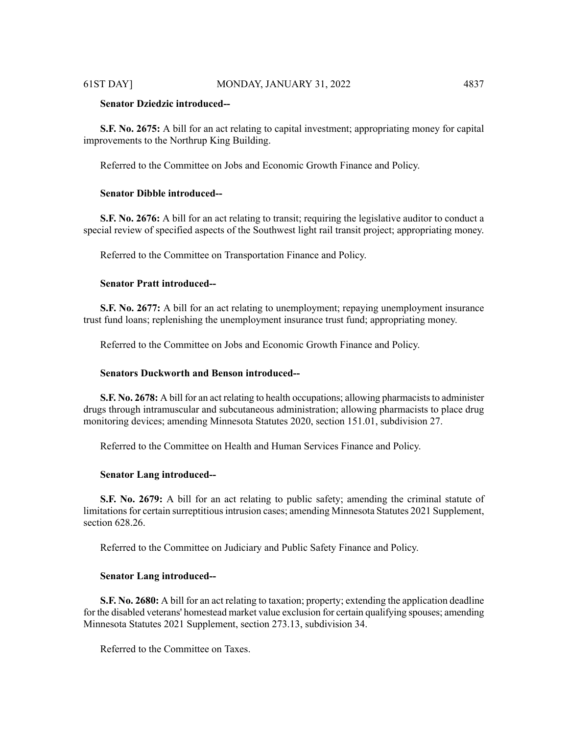# **Senator Dziedzic introduced--**

**S.F. No. 2675:** A bill for an act relating to capital investment; appropriating money for capital improvements to the Northrup King Building.

Referred to the Committee on Jobs and Economic Growth Finance and Policy.

# **Senator Dibble introduced--**

**S.F. No. 2676:** A bill for an act relating to transit; requiring the legislative auditor to conduct a special review of specified aspects of the Southwest light rail transit project; appropriating money.

Referred to the Committee on Transportation Finance and Policy.

# **Senator Pratt introduced--**

**S.F. No. 2677:** A bill for an act relating to unemployment; repaying unemployment insurance trust fund loans; replenishing the unemployment insurance trust fund; appropriating money.

Referred to the Committee on Jobs and Economic Growth Finance and Policy.

# **Senators Duckworth and Benson introduced--**

**S.F. No. 2678:** A bill for an act relating to health occupations; allowing pharmacists to administer drugs through intramuscular and subcutaneous administration; allowing pharmacists to place drug monitoring devices; amending Minnesota Statutes 2020, section 151.01, subdivision 27.

Referred to the Committee on Health and Human Services Finance and Policy.

# **Senator Lang introduced--**

**S.F. No. 2679:** A bill for an act relating to public safety; amending the criminal statute of limitations for certain surreptitious intrusion cases; amending Minnesota Statutes 2021 Supplement, section 628.26.

Referred to the Committee on Judiciary and Public Safety Finance and Policy.

#### **Senator Lang introduced--**

**S.F. No. 2680:** A bill for an act relating to taxation; property; extending the application deadline for the disabled veterans' homestead market value exclusion for certain qualifying spouses; amending Minnesota Statutes 2021 Supplement, section 273.13, subdivision 34.

Referred to the Committee on Taxes.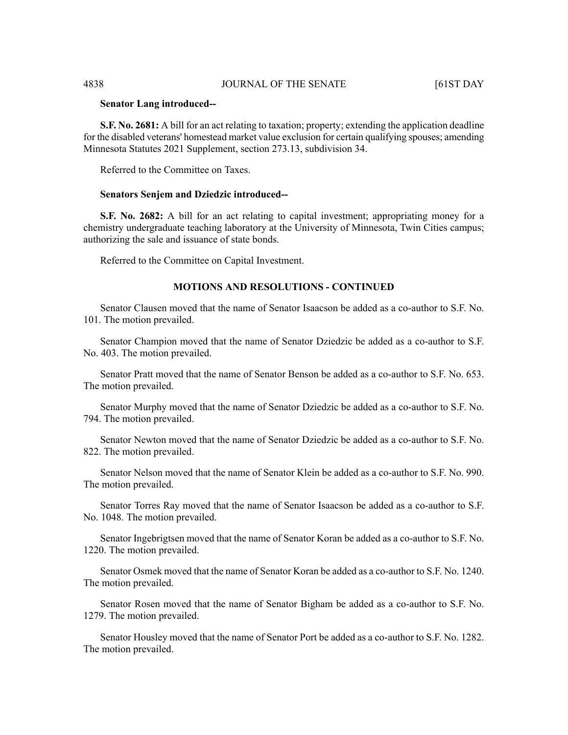#### **Senator Lang introduced--**

**S.F. No. 2681:** A bill for an act relating to taxation; property; extending the application deadline for the disabled veterans' homestead market value exclusion for certain qualifying spouses; amending Minnesota Statutes 2021 Supplement, section 273.13, subdivision 34.

Referred to the Committee on Taxes.

#### **Senators Senjem and Dziedzic introduced--**

**S.F. No. 2682:** A bill for an act relating to capital investment; appropriating money for a chemistry undergraduate teaching laboratory at the University of Minnesota, Twin Cities campus; authorizing the sale and issuance of state bonds.

Referred to the Committee on Capital Investment.

# **MOTIONS AND RESOLUTIONS - CONTINUED**

Senator Clausen moved that the name of Senator Isaacson be added as a co-author to S.F. No. 101. The motion prevailed.

Senator Champion moved that the name of Senator Dziedzic be added as a co-author to S.F. No. 403. The motion prevailed.

Senator Pratt moved that the name of Senator Benson be added as a co-author to S.F. No. 653. The motion prevailed.

Senator Murphy moved that the name of Senator Dziedzic be added as a co-author to S.F. No. 794. The motion prevailed.

Senator Newton moved that the name of Senator Dziedzic be added as a co-author to S.F. No. 822. The motion prevailed.

Senator Nelson moved that the name of Senator Klein be added as a co-author to S.F. No. 990. The motion prevailed.

Senator Torres Ray moved that the name of Senator Isaacson be added as a co-author to S.F. No. 1048. The motion prevailed.

Senator Ingebrigtsen moved that the name of Senator Koran be added as a co-author to S.F. No. 1220. The motion prevailed.

Senator Osmek moved that the name of Senator Koran be added as a co-author to S.F. No. 1240. The motion prevailed.

Senator Rosen moved that the name of Senator Bigham be added as a co-author to S.F. No. 1279. The motion prevailed.

Senator Housley moved that the name of Senator Port be added as a co-author to S.F. No. 1282. The motion prevailed.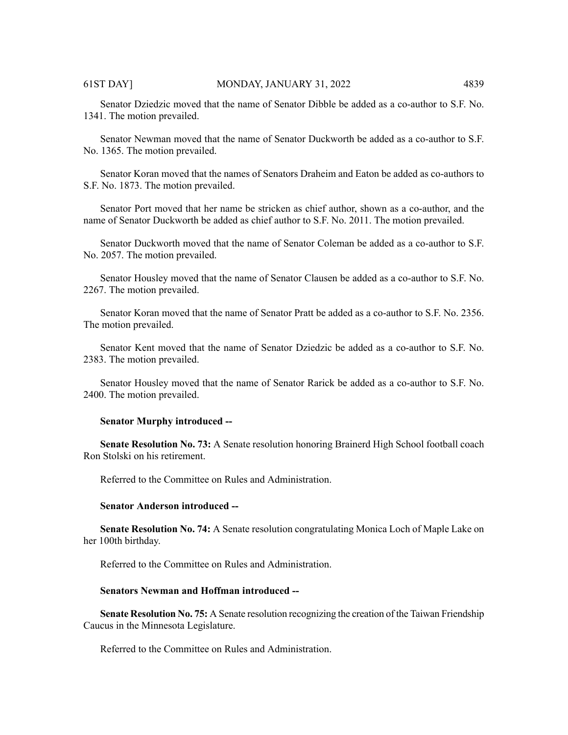Senator Dziedzic moved that the name of Senator Dibble be added as a co-author to S.F. No. 1341. The motion prevailed.

Senator Newman moved that the name of Senator Duckworth be added as a co-author to S.F. No. 1365. The motion prevailed.

Senator Koran moved that the names of Senators Draheim and Eaton be added as co-authors to S.F. No. 1873. The motion prevailed.

Senator Port moved that her name be stricken as chief author, shown as a co-author, and the name of Senator Duckworth be added as chief author to S.F. No. 2011. The motion prevailed.

Senator Duckworth moved that the name of Senator Coleman be added as a co-author to S.F. No. 2057. The motion prevailed.

Senator Housley moved that the name of Senator Clausen be added as a co-author to S.F. No. 2267. The motion prevailed.

Senator Koran moved that the name of Senator Pratt be added as a co-author to S.F. No. 2356. The motion prevailed.

Senator Kent moved that the name of Senator Dziedzic be added as a co-author to S.F. No. 2383. The motion prevailed.

Senator Housley moved that the name of Senator Rarick be added as a co-author to S.F. No. 2400. The motion prevailed.

#### **Senator Murphy introduced --**

**Senate Resolution No. 73:** A Senate resolution honoring Brainerd High School football coach Ron Stolski on his retirement.

Referred to the Committee on Rules and Administration.

# **Senator Anderson introduced --**

**Senate Resolution No. 74:** A Senate resolution congratulating Monica Loch of Maple Lake on her 100th birthday.

Referred to the Committee on Rules and Administration.

#### **Senators Newman and Hoffman introduced --**

**Senate Resolution No. 75:** A Senate resolution recognizing the creation of the Taiwan Friendship Caucus in the Minnesota Legislature.

Referred to the Committee on Rules and Administration.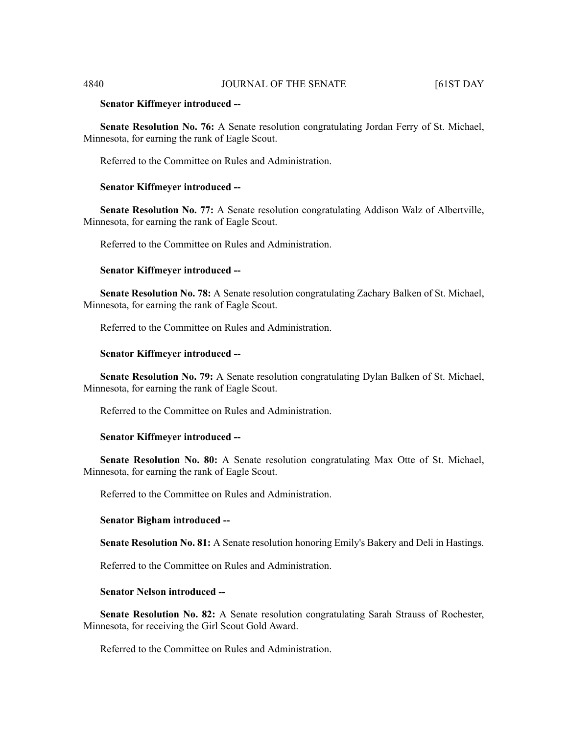#### **Senator Kiffmeyer introduced --**

**Senate Resolution No. 76:** A Senate resolution congratulating Jordan Ferry of St. Michael, Minnesota, for earning the rank of Eagle Scout.

Referred to the Committee on Rules and Administration.

# **Senator Kiffmeyer introduced --**

**Senate Resolution No. 77:** A Senate resolution congratulating Addison Walz of Albertville, Minnesota, for earning the rank of Eagle Scout.

Referred to the Committee on Rules and Administration.

# **Senator Kiffmeyer introduced --**

**Senate Resolution No. 78:** A Senate resolution congratulating Zachary Balken of St. Michael, Minnesota, for earning the rank of Eagle Scout.

Referred to the Committee on Rules and Administration.

#### **Senator Kiffmeyer introduced --**

**Senate Resolution No. 79:** A Senate resolution congratulating Dylan Balken of St. Michael, Minnesota, for earning the rank of Eagle Scout.

Referred to the Committee on Rules and Administration.

#### **Senator Kiffmeyer introduced --**

**Senate Resolution No. 80:** A Senate resolution congratulating Max Otte of St. Michael, Minnesota, for earning the rank of Eagle Scout.

Referred to the Committee on Rules and Administration.

# **Senator Bigham introduced --**

**Senate Resolution No. 81:** A Senate resolution honoring Emily's Bakery and Deli in Hastings.

Referred to the Committee on Rules and Administration.

# **Senator Nelson introduced --**

**Senate Resolution No. 82:** A Senate resolution congratulating Sarah Strauss of Rochester, Minnesota, for receiving the Girl Scout Gold Award.

Referred to the Committee on Rules and Administration.